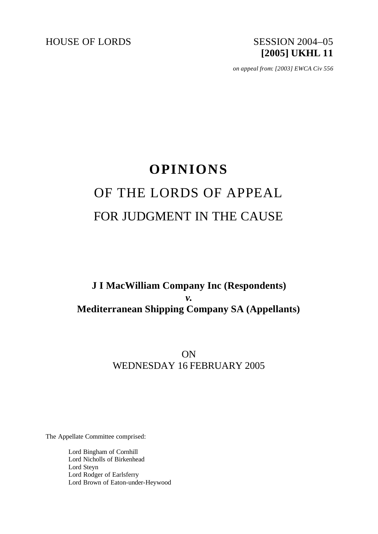HOUSE OF LORDS SESSION 2004-05

# **[2005] UKHL 11**

*on appeal from: [2003] EWCA Civ 556*

## **OPINIONS** OF THE LORDS OF APPEAL FOR JUDGMENT IN THE CAUSE

### **J I MacWilliam Company Inc (Respondents)** *v.* **Mediterranean Shipping Company SA (Appellants)**

ON WEDNESDAY 16 FEBRUARY 2005

The Appellate Committee comprised:

Lord Bingham of Cornhill Lord Nicholls of Birkenhead Lord Steyn Lord Rodger of Earlsferry Lord Brown of Eaton-under-Heywood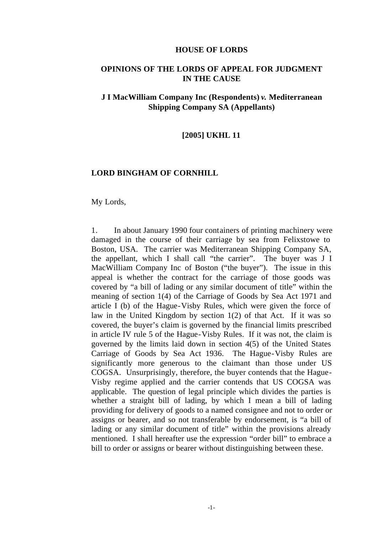#### **HOUSE OF LORDS**

#### **OPINIONS OF THE LORDS OF APPEAL FOR JUDGMENT IN THE CAUSE**

#### **J I MacWilliam Company Inc (Respondents)** *v.* **Mediterranean Shipping Company SA (Appellants)**

#### **[2005] UKHL 11**

#### **LORD BINGHAM OF CORNHILL**

My Lords,

1. In about January 1990 four containers of printing machinery were damaged in the course of their carriage by sea from Felixstowe to Boston, USA. The carrier was Mediterranean Shipping Company SA, the appellant, which I shall call "the carrier". The buyer was J I MacWilliam Company Inc of Boston ("the buyer"). The issue in this appeal is whether the contract for the carriage of those goods was covered by "a bill of lading or any similar document of title" within the meaning of section 1(4) of the Carriage of Goods by Sea Act 1971 and article I (b) of the Hague-Visby Rules, which were given the force of law in the United Kingdom by section 1(2) of that Act. If it was so covered, the buyer's claim is governed by the financial limits prescribed in article IV rule 5 of the Hague-Visby Rules. If it was not, the claim is governed by the limits laid down in section 4(5) of the United States Carriage of Goods by Sea Act 1936. The Hague-Visby Rules are significantly more generous to the claimant than those under US COGSA. Unsurprisingly, therefore, the buyer contends that the Hague-Visby regime applied and the carrier contends that US COGSA was applicable. The question of legal principle which divides the parties is whether a straight bill of lading, by which I mean a bill of lading providing for delivery of goods to a named consignee and not to order or assigns or bearer, and so not transferable by endorsement, is "a bill of lading or any similar document of title" within the provisions already mentioned. I shall hereafter use the expression "order bill" to embrace a bill to order or assigns or bearer without distinguishing between these.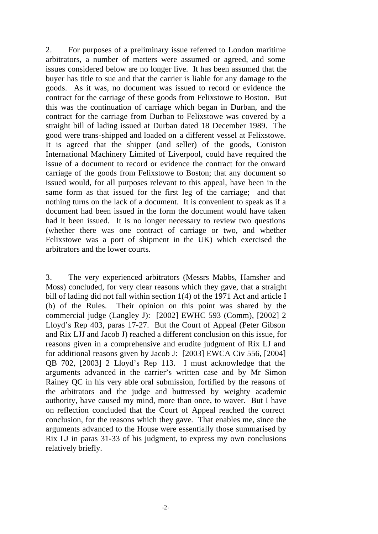2. For purposes of a preliminary issue referred to London maritime arbitrators, a number of matters were assumed or agreed, and some issues considered below are no longer live. It has been assumed that the buyer has title to sue and that the carrier is liable for any damage to the goods. As it was, no document was issued to record or evidence the contract for the carriage of these goods from Felixstowe to Boston. But this was the continuation of carriage which began in Durban, and the contract for the carriage from Durban to Felixstowe was covered by a straight bill of lading issued at Durban dated 18 December 1989. The good were trans-shipped and loaded on a different vessel at Felixstowe. It is agreed that the shipper (and seller) of the goods, Coniston International Machinery Limited of Liverpool, could have required the issue of a document to record or evidence the contract for the onward carriage of the goods from Felixstowe to Boston; that any document so issued would, for all purposes relevant to this appeal, have been in the same form as that issued for the first leg of the carriage; and that nothing turns on the lack of a document. It is convenient to speak as if a document had been issued in the form the document would have taken had it been issued. It is no longer necessary to review two questions (whether there was one contract of carriage or two, and whether Felixstowe was a port of shipment in the UK) which exercised the arbitrators and the lower courts.

3. The very experienced arbitrators (Messrs Mabbs, Hamsher and Moss) concluded, for very clear reasons which they gave, that a straight bill of lading did not fall within section 1(4) of the 1971 Act and article I (b) of the Rules. Their opinion on this point was shared by the commercial judge (Langley J): [2002] EWHC 593 (Comm), [2002] 2 Lloyd's Rep 403, paras 17-27. But the Court of Appeal (Peter Gibson and Rix LJJ and Jacob J) reached a different conclusion on this issue, for reasons given in a comprehensive and erudite judgment of Rix LJ and for additional reasons given by Jacob J: [2003] EWCA Civ 556, [2004] QB 702, [2003] 2 Lloyd's Rep 113. I must acknowledge that the arguments advanced in the carrier's written case and by Mr Simon Rainey QC in his very able oral submission, fortified by the reasons of the arbitrators and the judge and buttressed by weighty academic authority, have caused my mind, more than once, to waver. But I have on reflection concluded that the Court of Appeal reached the correct conclusion, for the reasons which they gave. That enables me, since the arguments advanced to the House were essentially those summarised by Rix LJ in paras 31-33 of his judgment, to express my own conclusions relatively briefly.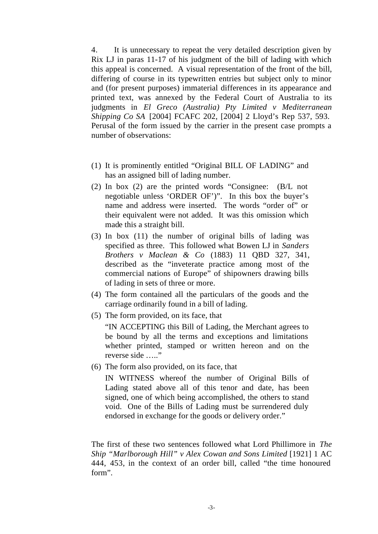4. It is unnecessary to repeat the very detailed description given by Rix LJ in paras 11-17 of his judgment of the bill of lading with which this appeal is concerned. A visual representation of the front of the bill, differing of course in its typewritten entries but subject only to minor and (for present purposes) immaterial differences in its appearance and printed text, was annexed by the Federal Court of Australia to its judgments in *El Greco (Australia) Pty Limited v Mediterranean Shipping Co SA* [2004] FCAFC 202, [2004] 2 Lloyd's Rep 537, 593. Perusal of the form issued by the carrier in the present case prompts a number of observations:

- (1) It is prominently entitled "Original BILL OF LADING" and has an assigned bill of lading number.
- (2) In box (2) are the printed words "Consignee: (B/L not negotiable unless 'ORDER OF')". In this box the buyer's name and address were inserted. The words "order of" or their equivalent were not added. It was this omission which made this a straight bill.
- (3) In box (11) the number of original bills of lading was specified as three. This followed what Bowen LJ in *Sanders Brothers v Maclean & Co* (1883) 11 QBD 327, 341, described as the "inveterate practice among most of the commercial nations of Europe" of shipowners drawing bills of lading in sets of three or more.
- (4) The form contained all the particulars of the goods and the carriage ordinarily found in a bill of lading.
- (5) The form provided, on its face, that "IN ACCEPTING this Bill of Lading, the Merchant agrees to be bound by all the terms and exceptions and limitations whether printed, stamped or written hereon and on the reverse side ….."
- (6) The form also provided, on its face, that

IN WITNESS whereof the number of Original Bills of Lading stated above all of this tenor and date, has been signed, one of which being accomplished, the others to stand void. One of the Bills of Lading must be surrendered duly endorsed in exchange for the goods or delivery order."

The first of these two sentences followed what Lord Phillimore in *The Ship "Marlborough Hill" v Alex Cowan and Sons Limited* [1921] 1 AC 444, 453, in the context of an order bill, called "the time honoured form".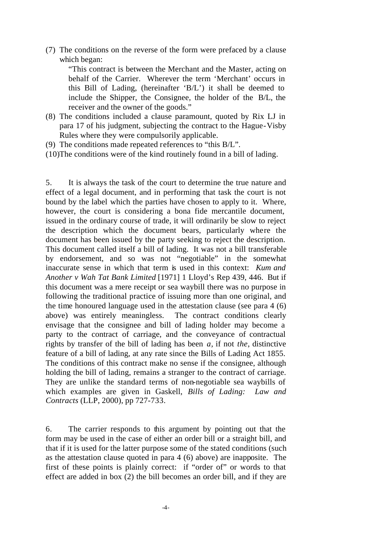(7) The conditions on the reverse of the form were prefaced by a clause which began:

"This contract is between the Merchant and the Master, acting on behalf of the Carrier. Wherever the term 'Merchant' occurs in this Bill of Lading, (hereinafter 'B/L') it shall be deemed to include the Shipper, the Consignee, the holder of the B/L, the receiver and the owner of the goods."

- (8) The conditions included a clause paramount, quoted by Rix LJ in para 17 of his judgment, subjecting the contract to the Hague-Visby Rules where they were compulsorily applicable.
- (9) The conditions made repeated references to "this B/L".
- (10)The conditions were of the kind routinely found in a bill of lading.

5. It is always the task of the court to determine the true nature and effect of a legal document, and in performing that task the court is not bound by the label which the parties have chosen to apply to it. Where, however, the court is considering a bona fide mercantile document, issued in the ordinary course of trade, it will ordinarily be slow to reject the description which the document bears, particularly where the document has been issued by the party seeking to reject the description. This document called itself a bill of lading. It was not a bill transferable by endorsement, and so was not "negotiable" in the somewhat inaccurate sense in which that term is used in this context: *Kum and Another v Wah Tat Bank Limited* [1971] 1 Lloyd's Rep 439, 446. But if this document was a mere receipt or sea waybill there was no purpose in following the traditional practice of issuing more than one original, and the time honoured language used in the attestation clause (see para 4 (6) above) was entirely meaningless. The contract conditions clearly envisage that the consignee and bill of lading holder may become a party to the contract of carriage, and the conveyance of contractual rights by transfer of the bill of lading has been *a,* if not *the*, distinctive feature of a bill of lading, at any rate since the Bills of Lading Act 1855. The conditions of this contract make no sense if the consignee, although holding the bill of lading, remains a stranger to the contract of carriage. They are unlike the standard terms of non-negotiable sea waybills of which examples are given in Gaskell, *Bills of Lading: Law and Contracts* (LLP, 2000), pp 727-733.

6. The carrier responds to this argument by pointing out that the form may be used in the case of either an order bill or a straight bill, and that if it is used for the latter purpose some of the stated conditions (such as the attestation clause quoted in para 4 (6) above) are inapposite. The first of these points is plainly correct: if "order of" or words to that effect are added in box (2) the bill becomes an order bill, and if they are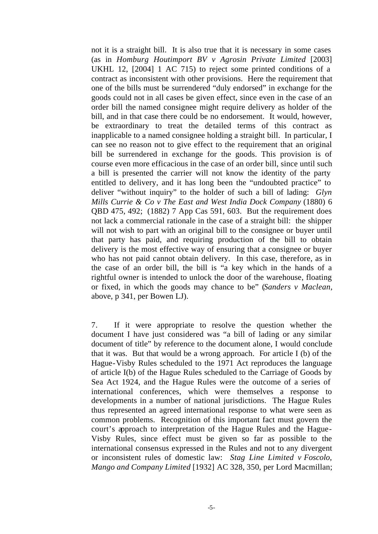not it is a straight bill. It is also true that it is necessary in some cases (as in *Homburg Houtimport BV v Agrosin Private Limited* [2003] UKHL 12, [2004] 1 AC 715) to reject some printed conditions of a contract as inconsistent with other provisions. Here the requirement that one of the bills must be surrendered "duly endorsed" in exchange for the goods could not in all cases be given effect, since even in the case of an order bill the named consignee might require delivery as holder of the bill, and in that case there could be no endorsement. It would, however, be extraordinary to treat the detailed terms of this contract as inapplicable to a named consignee holding a straight bill. In particular, I can see no reason not to give effect to the requirement that an original bill be surrendered in exchange for the goods. This provision is of course even more efficacious in the case of an order bill, since until such a bill is presented the carrier will not know the identity of the party entitled to delivery, and it has long been the "undoubted practice" to deliver "without inquiry" to the holder of such a bill of lading: *Glyn Mills Currie & Co v The East and West India Dock Company* (1880) 6 QBD 475, 492; (1882) 7 App Cas 591, 603. But the requirement does not lack a commercial rationale in the case of a straight bill: the shipper will not wish to part with an original bill to the consignee or buyer until that party has paid, and requiring production of the bill to obtain delivery is the most effective way of ensuring that a consignee or buyer who has not paid cannot obtain delivery. In this case, therefore, as in the case of an order bill, the bill is "a key which in the hands of a rightful owner is intended to unlock the door of the warehouse, floating or fixed, in which the goods may chance to be" (*Sanders v Maclean*, above, p 341, per Bowen LJ).

7. If it were appropriate to resolve the question whether the document I have just considered was "a bill of lading or any similar document of title" by reference to the document alone, I would conclude that it was. But that would be a wrong approach. For article I (b) of the Hague-Visby Rules scheduled to the 1971 Act reproduces the language of article I(b) of the Hague Rules scheduled to the Carriage of Goods by Sea Act 1924, and the Hague Rules were the outcome of a series of international conferences, which were themselves a response to developments in a number of national jurisdictions. The Hague Rules thus represented an agreed international response to what were seen as common problems. Recognition of this important fact must govern the court's approach to interpretation of the Hague Rules and the Hague-Visby Rules, since effect must be given so far as possible to the international consensus expressed in the Rules and not to any divergent or inconsistent rules of domestic law: *Stag Line Limited v Foscolo, Mango and Company Limited* [1932] AC 328, 350, per Lord Macmillan;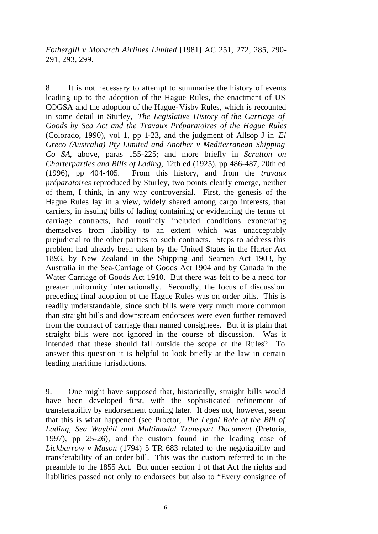*Fothergill v Monarch Airlines Limited* [1981] AC 251, 272, 285, 290- 291, 293, 299.

8. It is not necessary to attempt to summarise the history of events leading up to the adoption of the Hague Rules, the enactment of US COGSA and the adoption of the Hague-Visby Rules, which is recounted in some detail in Sturley, *The Legislative History of the Carriage of Goods by Sea Act and the Travaux Préparatoires of the Hague Rules* (Colorado, 1990), vol 1, pp 1-23, and the judgment of Allsop J in *El Greco (Australia) Pty Limited and Another v Mediterranean Shipping Co SA*, above, paras 155-225; and more briefly in *Scrutton on Charterparties and Bills of Lading,* 12th ed (1925), pp 486-487, 20th ed (1996), pp 404-405. From this history, and from the *travaux préparatoires* reproduced by Sturley, two points clearly emerge, neither of them, I think, in any way controversial. First, the genesis of the Hague Rules lay in a view, widely shared among cargo interests, that carriers, in issuing bills of lading containing or evidencing the terms of carriage contracts, had routinely included conditions exonerating themselves from liability to an extent which was unacceptably prejudicial to the other parties to such contracts. Steps to address this problem had already been taken by the United States in the Harter Act 1893, by New Zealand in the Shipping and Seamen Act 1903, by Australia in the Sea-Carriage of Goods Act 1904 and by Canada in the Water Carriage of Goods Act 1910. But there was felt to be a need for greater uniformity internationally. Secondly, the focus of discussion preceding final adoption of the Hague Rules was on order bills. This is readily understandable, since such bills were very much more common than straight bills and downstream endorsees were even further removed from the contract of carriage than named consignees. But it is plain that straight bills were not ignored in the course of discussion. Was it intended that these should fall outside the scope of the Rules? To answer this question it is helpful to look briefly at the law in certain leading maritime jurisdictions.

9. One might have supposed that, historically, straight bills would have been developed first, with the sophisticated refinement of transferability by endorsement coming later. It does not, however, seem that this is what happened (see Proctor, *The Legal Role of the Bill of Lading, Sea Waybill and Multimodal Transport Document* (Pretoria, 1997), pp 25-26), and the custom found in the leading case of *Lickbarrow v Mason* (1794) 5 TR 683 related to the negotiability and transferability of an order bill. This was the custom referred to in the preamble to the 1855 Act. But under section 1 of that Act the rights and liabilities passed not only to endorsees but also to "Every consignee of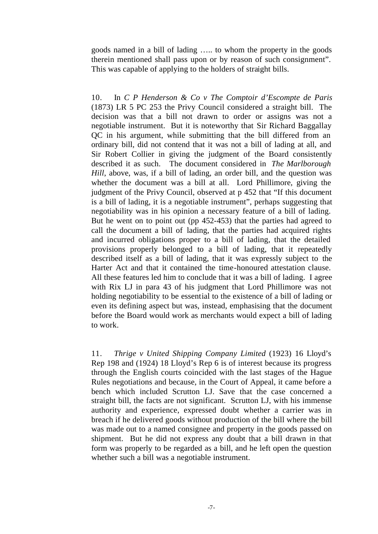goods named in a bill of lading ….. to whom the property in the goods therein mentioned shall pass upon or by reason of such consignment". This was capable of applying to the holders of straight bills.

10. In *C P Henderson & Co v The Comptoir d'Escompte de Paris* (1873) LR 5 PC 253 the Privy Council considered a straight bill. The decision was that a bill not drawn to order or assigns was not a negotiable instrument. But it is noteworthy that Sir Richard Baggallay QC in his argument, while submitting that the bill differed from an ordinary bill, did not contend that it was not a bill of lading at all, and Sir Robert Collier in giving the judgment of the Board consistently described it as such. The document considered in *The Marlborough Hill*, above, was, if a bill of lading, an order bill, and the question was whether the document was a bill at all. Lord Phillimore, giving the judgment of the Privy Council, observed at p 452 that "If this document is a bill of lading, it is a negotiable instrument", perhaps suggesting that negotiability was in his opinion a necessary feature of a bill of lading. But he went on to point out (pp 452-453) that the parties had agreed to call the document a bill of lading, that the parties had acquired rights and incurred obligations proper to a bill of lading, that the detailed provisions properly belonged to a bill of lading, that it repeatedly described itself as a bill of lading, that it was expressly subject to the Harter Act and that it contained the time-honoured attestation clause. All these features led him to conclude that it was a bill of lading. I agree with Rix LJ in para 43 of his judgment that Lord Phillimore was not holding negotiability to be essential to the existence of a bill of lading or even its defining aspect but was, instead, emphasising that the document before the Board would work as merchants would expect a bill of lading to work.

11. *Thrige v United Shipping Company Limited* (1923) 16 Lloyd's Rep 198 and (1924) 18 Lloyd's Rep 6 is of interest because its progress through the English courts coincided with the last stages of the Hague Rules negotiations and because, in the Court of Appeal, it came before a bench which included Scrutton LJ. Save that the case concerned a straight bill, the facts are not significant. Scrutton LJ, with his immense authority and experience, expressed doubt whether a carrier was in breach if he delivered goods without production of the bill where the bill was made out to a named consignee and property in the goods passed on shipment. But he did not express any doubt that a bill drawn in that form was properly to be regarded as a bill, and he left open the question whether such a bill was a negotiable instrument.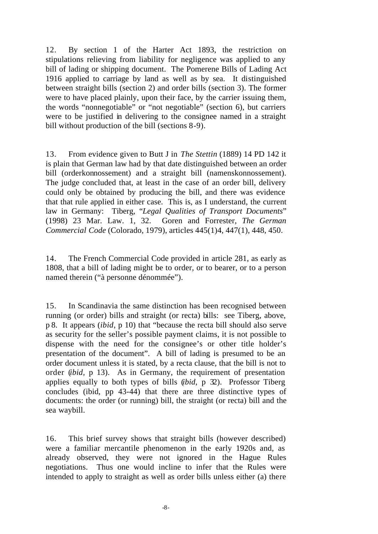12. By section 1 of the Harter Act 1893, the restriction on stipulations relieving from liability for negligence was applied to any bill of lading or shipping document. The Pomerene Bills of Lading Act 1916 applied to carriage by land as well as by sea. It distinguished between straight bills (section 2) and order bills (section 3). The former were to have placed plainly, upon their face, by the carrier issuing them, the words "nonnegotiable" or "not negotiable" (section 6), but carriers were to be justified in delivering to the consignee named in a straight bill without production of the bill (sections 8-9).

13. From evidence given to Butt J in *The Stettin* (1889) 14 PD 142 it is plain that German law had by that date distinguished between an order bill (orderkonnossement) and a straight bill (namenskonnossement). The judge concluded that, at least in the case of an order bill, delivery could only be obtained by producing the bill, and there was evidence that that rule applied in either case. This is, as I understand, the current law in Germany: Tiberg, "*Legal Qualities of Transport Documents*" (1998) 23 Mar. Law. 1, 32. Goren and Forrester, *The German Commercial Code* (Colorado, 1979), articles 445(1)4, 447(1), 448, 450.

14. The French Commercial Code provided in article 281, as early as 1808, that a bill of lading might be to order, or to bearer, or to a person named therein ("à personne dénommée").

15. In Scandinavia the same distinction has been recognised between running (or order) bills and straight (or recta) bills: see Tiberg, above, p 8. It appears (*ibid*, p 10) that "because the recta bill should also serve as security for the seller's possible payment claims, it is not possible to dispense with the need for the consignee's or other title holder's presentation of the document". A bill of lading is presumed to be an order document unless it is stated, by a recta clause, that the bill is not to order (*ibid,* p 13). As in Germany, the requirement of presentation applies equally to both types of bills (*ibid*, p 32). Professor Tiberg concludes (ibid, pp 43-44) that there are three distinctive types of documents: the order (or running) bill, the straight (or recta) bill and the sea waybill.

16. This brief survey shows that straight bills (however described) were a familiar mercantile phenomenon in the early 1920s and, as already observed, they were not ignored in the Hague Rules negotiations. Thus one would incline to infer that the Rules were intended to apply to straight as well as order bills unless either (a) there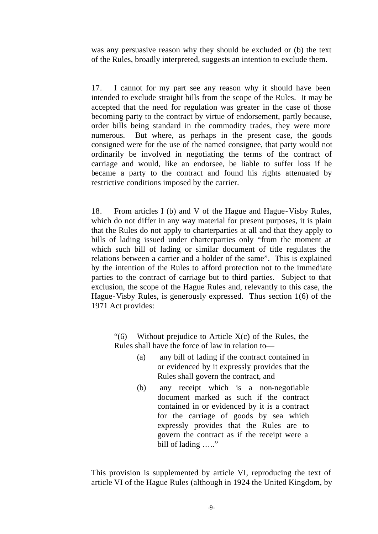was any persuasive reason why they should be excluded or (b) the text of the Rules, broadly interpreted, suggests an intention to exclude them.

17. I cannot for my part see any reason why it should have been intended to exclude straight bills from the scope of the Rules. It may be accepted that the need for regulation was greater in the case of those becoming party to the contract by virtue of endorsement, partly because, order bills being standard in the commodity trades, they were more numerous. But where, as perhaps in the present case, the goods consigned were for the use of the named consignee, that party would not ordinarily be involved in negotiating the terms of the contract of carriage and would, like an endorsee, be liable to suffer loss if he became a party to the contract and found his rights attenuated by restrictive conditions imposed by the carrier.

18. From articles I (b) and V of the Hague and Hague-Visby Rules, which do not differ in any way material for present purposes, it is plain that the Rules do not apply to charterparties at all and that they apply to bills of lading issued under charterparties only "from the moment at which such bill of lading or similar document of title regulates the relations between a carrier and a holder of the same". This is explained by the intention of the Rules to afford protection not to the immediate parties to the contract of carriage but to third parties. Subject to that exclusion, the scope of the Hague Rules and, relevantly to this case, the Hague-Visby Rules, is generously expressed. Thus section 1(6) of the 1971 Act provides:

"(6) Without prejudice to Article  $X(c)$  of the Rules, the Rules shall have the force of law in relation to—

- (a) any bill of lading if the contract contained in or evidenced by it expressly provides that the Rules shall govern the contract, and
- (b) any receipt which is a non-negotiable document marked as such if the contract contained in or evidenced by it is a contract for the carriage of goods by sea which expressly provides that the Rules are to govern the contract as if the receipt were a bill of lading ....."

This provision is supplemented by article VI, reproducing the text of article VI of the Hague Rules (although in 1924 the United Kingdom, by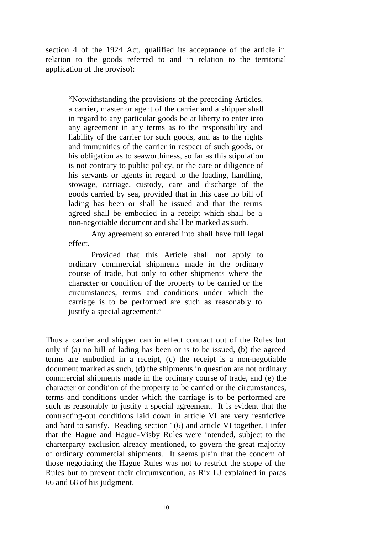section 4 of the 1924 Act, qualified its acceptance of the article in relation to the goods referred to and in relation to the territorial application of the proviso):

"Notwithstanding the provisions of the preceding Articles, a carrier, master or agent of the carrier and a shipper shall in regard to any particular goods be at liberty to enter into any agreement in any terms as to the responsibility and liability of the carrier for such goods, and as to the rights and immunities of the carrier in respect of such goods, or his obligation as to seaworthiness, so far as this stipulation is not contrary to public policy, or the care or diligence of his servants or agents in regard to the loading, handling, stowage, carriage, custody, care and discharge of the goods carried by sea, provided that in this case no bill of lading has been or shall be issued and that the terms agreed shall be embodied in a receipt which shall be a non-negotiable document and shall be marked as such.

Any agreement so entered into shall have full legal effect.

Provided that this Article shall not apply to ordinary commercial shipments made in the ordinary course of trade, but only to other shipments where the character or condition of the property to be carried or the circumstances, terms and conditions under which the carriage is to be performed are such as reasonably to justify a special agreement."

Thus a carrier and shipper can in effect contract out of the Rules but only if (a) no bill of lading has been or is to be issued, (b) the agreed terms are embodied in a receipt, (c) the receipt is a non-negotiable document marked as such, (d) the shipments in question are not ordinary commercial shipments made in the ordinary course of trade, and (e) the character or condition of the property to be carried or the circumstances, terms and conditions under which the carriage is to be performed are such as reasonably to justify a special agreement. It is evident that the contracting-out conditions laid down in article VI are very restrictive and hard to satisfy. Reading section 1(6) and article VI together, I infer that the Hague and Hague-Visby Rules were intended, subject to the charterparty exclusion already mentioned, to govern the great majority of ordinary commercial shipments. It seems plain that the concern of those negotiating the Hague Rules was not to restrict the scope of the Rules but to prevent their circumvention, as Rix LJ explained in paras 66 and 68 of his judgment.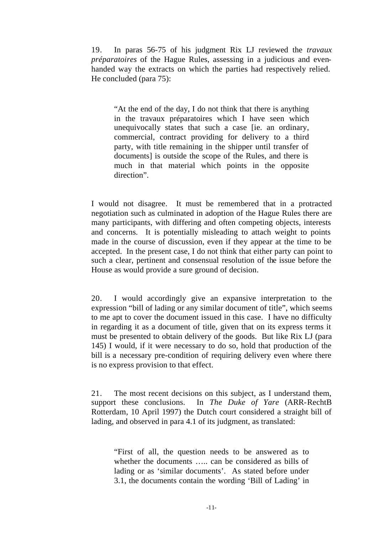19. In paras 56-75 of his judgment Rix LJ reviewed the *travaux préparatoires* of the Hague Rules, assessing in a judicious and evenhanded way the extracts on which the parties had respectively relied. He concluded (para 75):

"At the end of the day, I do not think that there is anything in the travaux préparatoires which I have seen which unequivocally states that such a case [ie. an ordinary, commercial, contract providing for delivery to a third party, with title remaining in the shipper until transfer of documents] is outside the scope of the Rules, and there is much in that material which points in the opposite direction".

I would not disagree. It must be remembered that in a protracted negotiation such as culminated in adoption of the Hague Rules there are many participants, with differing and often competing objects, interests and concerns. It is potentially misleading to attach weight to points made in the course of discussion, even if they appear at the time to be accepted. In the present case, I do not think that either party can point to such a clear, pertinent and consensual resolution of the issue before the House as would provide a sure ground of decision.

20. I would accordingly give an expansive interpretation to the expression "bill of lading or any similar document of title", which seems to me apt to cover the document issued in this case. I have no difficulty in regarding it as a document of title, given that on its express terms it must be presented to obtain delivery of the goods. But like Rix LJ (para 145) I would, if it were necessary to do so, hold that production of the bill is a necessary pre-condition of requiring delivery even where there is no express provision to that effect.

21. The most recent decisions on this subject, as I understand them, support these conclusions. In *The Duke of Yare* (ARR-RechtB Rotterdam, 10 April 1997) the Dutch court considered a straight bill of lading, and observed in para 4.1 of its judgment, as translated:

"First of all, the question needs to be answered as to whether the documents ….. can be considered as bills of lading or as 'similar documents'. As stated before under 3.1, the documents contain the wording 'Bill of Lading' in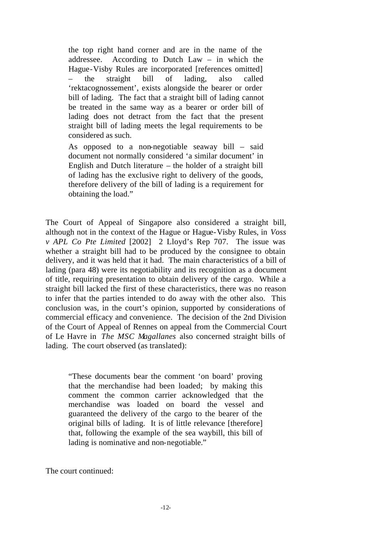the top right hand corner and are in the name of the addressee. According to Dutch Law – in which the Hague-Visby Rules are incorporated [references omitted] – the straight bill of lading, also called 'rektacognossement', exists alongside the bearer or order bill of lading. The fact that a straight bill of lading cannot be treated in the same way as a bearer or order bill of lading does not detract from the fact that the present straight bill of lading meets the legal requirements to be considered as such.

As opposed to a non-negotiable seaway bill – said document not normally considered 'a similar document' in English and Dutch literature – the holder of a straight bill of lading has the exclusive right to delivery of the goods, therefore delivery of the bill of lading is a requirement for obtaining the load."

The Court of Appeal of Singapore also considered a straight bill, although not in the context of the Hague or Hague-Visby Rules, in *Voss v APL Co Pte Limited* [2002] 2 Lloyd's Rep 707. The issue was whether a straight bill had to be produced by the consignee to obtain delivery, and it was held that it had. The main characteristics of a bill of lading (para 48) were its negotiability and its recognition as a document of title, requiring presentation to obtain delivery of the cargo. While a straight bill lacked the first of these characteristics, there was no reason to infer that the parties intended to do away with the other also. This conclusion was, in the court's opinion, supported by considerations of commercial efficacy and convenience. The decision of the 2nd Division of the Court of Appeal of Rennes on appeal from the Commercial Court of Le Havre in *The MSC Magallanes* also concerned straight bills of lading. The court observed (as translated):

"These documents bear the comment 'on board' proving that the merchandise had been loaded; by making this comment the common carrier acknowledged that the merchandise was loaded on board the vessel and guaranteed the delivery of the cargo to the bearer of the original bills of lading. It is of little relevance [therefore] that, following the example of the sea waybill, this bill of lading is nominative and non-negotiable."

The court continued: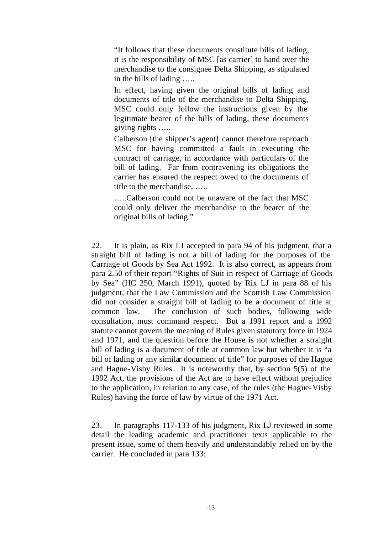"It follows that these documents constitute bills of lading, it is the responsibility of MSC [as carrier] to hand over the merchandise to the consignee Delta Shipping, as stipulated in the bills of lading …..

In effect, having given the original bills of lading and documents of title of the merchandise to Delta Shipping, MSC could only follow the instructions given by the legitimate bearer of the bills of lading, these documents giving rights …..

Calberson [the shipper's agent] cannot therefore reproach MSC for having committed a fault in executing the contract of carriage, in accordance with particulars of the bill of lading. Far from contravening its obligations the carrier has ensured the respect owed to the documents of title to the merchandise, …..

…..Calberson could not be unaware of the fact that MSC could only deliver the merchandise to the bearer of the original bills of lading."

22. It is plain, as Rix LJ accepted in para 94 of his judgment, that a straight bill of lading is not a bill of lading for the purposes of the Carriage of Goods by Sea Act 1992. It is also correct, as appears from para 2.50 of their report "Rights of Suit in respect of Carriage of Goods by Sea" (HC 250, March 1991), quoted by Rix LJ in para 88 of his judgment, that the Law Commission and the Scottish Law Commission did not consider a straight bill of lading to be a document of title at common law. The conclusion of such bodies, following wide consultation, must command respect. But a 1991 report and a 1992 statute cannot govern the meaning of Rules given statutory force in 1924 and 1971, and the question before the House is not whether a straight bill of lading is a document of title at common law but whether it is "a bill of lading or any similar document of title" for purposes of the Hague and Hague-Visby Rules. It is noteworthy that, by section 5(5) of the 1992 Act, the provisions of the Act are to have effect without prejudice to the application, in relation to any case, of the rules (the Hague-Visby Rules) having the force of law by virtue of the 1971 Act.

23. In paragraphs 117-133 of his judgment, Rix LJ reviewed in some detail the leading academic and practitioner texts applicable to the present issue, some of them heavily and understandably relied on by the carrier. He concluded in para 133: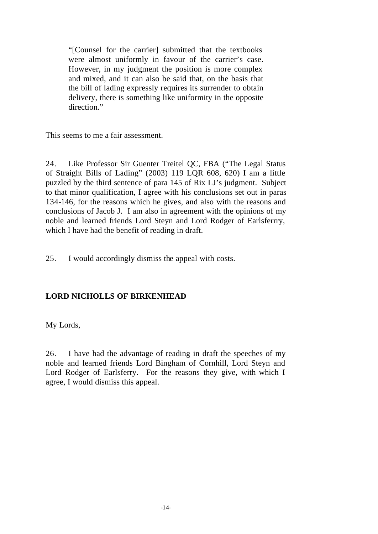"[Counsel for the carrier] submitted that the textbooks were almost uniformly in favour of the carrier's case. However, in my judgment the position is more complex and mixed, and it can also be said that, on the basis that the bill of lading expressly requires its surrender to obtain delivery, there is something like uniformity in the opposite direction."

This seems to me a fair assessment.

24. Like Professor Sir Guenter Treitel QC, FBA ("The Legal Status of Straight Bills of Lading" (2003) 119 LQR 608, 620) I am a little puzzled by the third sentence of para 145 of Rix LJ's judgment. Subject to that minor qualification, I agree with his conclusions set out in paras 134-146, for the reasons which he gives, and also with the reasons and conclusions of Jacob J. I am also in agreement with the opinions of my noble and learned friends Lord Steyn and Lord Rodger of Earlsferrry, which I have had the benefit of reading in draft.

25. I would accordingly dismiss the appeal with costs.

### **LORD NICHOLLS OF BIRKENHEAD**

My Lords,

26. I have had the advantage of reading in draft the speeches of my noble and learned friends Lord Bingham of Cornhill, Lord Steyn and Lord Rodger of Earlsferry. For the reasons they give, with which I agree, I would dismiss this appeal.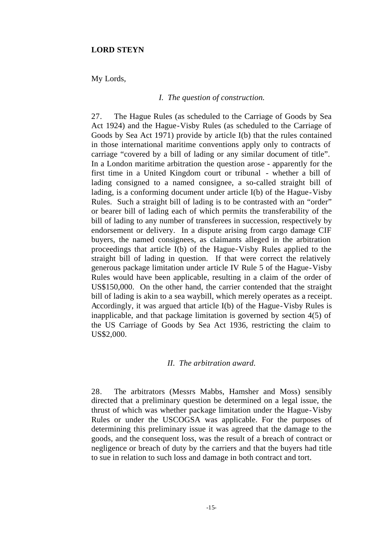#### **LORD STEYN**

My Lords,

#### *I. The question of construction.*

27. The Hague Rules (as scheduled to the Carriage of Goods by Sea Act 1924) and the Hague-Visby Rules (as scheduled to the Carriage of Goods by Sea Act 1971) provide by article I(b) that the rules contained in those international maritime conventions apply only to contracts of carriage "covered by a bill of lading or any similar document of title". In a London maritime arbitration the question arose - apparently for the first time in a United Kingdom court or tribunal - whether a bill of lading consigned to a named consignee, a so-called straight bill of lading, is a conforming document under article I(b) of the Hague-Visby Rules. Such a straight bill of lading is to be contrasted with an "order" or bearer bill of lading each of which permits the transferability of the bill of lading to any number of transferees in succession, respectively by endorsement or delivery. In a dispute arising from cargo damage CIF buyers, the named consignees, as claimants alleged in the arbitration proceedings that article I(b) of the Hague-Visby Rules applied to the straight bill of lading in question. If that were correct the relatively generous package limitation under article IV Rule 5 of the Hague-Visby Rules would have been applicable, resulting in a claim of the order of US\$150,000. On the other hand, the carrier contended that the straight bill of lading is akin to a sea waybill, which merely operates as a receipt. Accordingly, it was argued that article I(b) of the Hague-Visby Rules is inapplicable, and that package limitation is governed by section 4(5) of the US Carriage of Goods by Sea Act 1936, restricting the claim to US\$2,000.

#### *II. The arbitration award.*

28. The arbitrators (Messrs Mabbs, Hamsher and Moss) sensibly directed that a preliminary question be determined on a legal issue, the thrust of which was whether package limitation under the Hague-Visby Rules or under the USCOGSA was applicable. For the purposes of determining this preliminary issue it was agreed that the damage to the goods, and the consequent loss, was the result of a breach of contract or negligence or breach of duty by the carriers and that the buyers had title to sue in relation to such loss and damage in both contract and tort.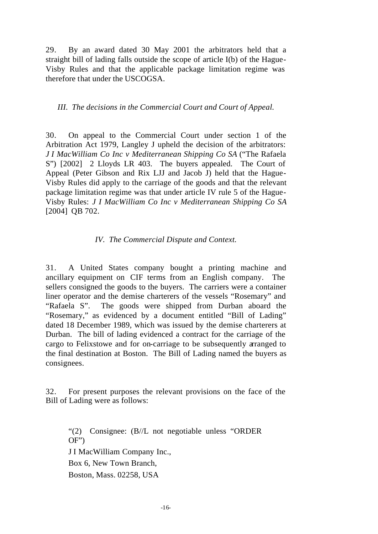29. By an award dated 30 May 2001 the arbitrators held that a straight bill of lading falls outside the scope of article I(b) of the Hague-Visby Rules and that the applicable package limitation regime was therefore that under the USCOGSA.

#### *III. The decisions in the Commercial Court and Court of Appeal.*

30. On appeal to the Commercial Court under section 1 of the Arbitration Act 1979, Langley J upheld the decision of the arbitrators: *J I MacWilliam Co Inc v Mediterranean Shipping Co SA* ("The Rafaela S") [2002] 2 Lloyds LR 403. The buyers appealed. The Court of Appeal (Peter Gibson and Rix LJJ and Jacob J) held that the Hague-Visby Rules did apply to the carriage of the goods and that the relevant package limitation regime was that under article IV rule 5 of the Hague-Visby Rules: *J I MacWilliam Co Inc v Mediterranean Shipping Co SA* [2004] QB 702.

#### *IV. The Commercial Dispute and Context.*

31. A United States company bought a printing machine and ancillary equipment on CIF terms from an English company. The sellers consigned the goods to the buyers. The carriers were a container liner operator and the demise charterers of the vessels "Rosemary" and "Rafaela S". The goods were shipped from Durban aboard the "Rosemary," as evidenced by a document entitled "Bill of Lading" dated 18 December 1989, which was issued by the demise charterers at Durban. The bill of lading evidenced a contract for the carriage of the cargo to Felixstowe and for on-carriage to be subsequently arranged to the final destination at Boston. The Bill of Lading named the buyers as consignees.

32. For present purposes the relevant provisions on the face of the Bill of Lading were as follows:

"(2) Consignee: (B//L not negotiable unless "ORDER OF") J I MacWilliam Company Inc., Box 6, New Town Branch, Boston, Mass. 02258, USA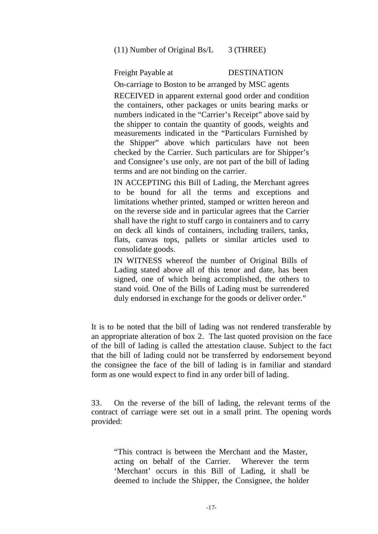(11) Number of Original  $Bs/L \t3$  (THREE)

Freight Payable at DESTINATION

On-carriage to Boston to be arranged by MSC agents

RECEIVED in apparent external good order and condition the containers, other packages or units bearing marks or numbers indicated in the "Carrier's Receipt" above said by the shipper to contain the quantity of goods, weights and measurements indicated in the "Particulars Furnished by the Shipper" above which particulars have not been checked by the Carrier. Such particulars are for Shipper's and Consignee's use only, are not part of the bill of lading terms and are not binding on the carrier.

IN ACCEPTING this Bill of Lading, the Merchant agrees to be bound for all the terms and exceptions and limitations whether printed, stamped or written hereon and on the reverse side and in particular agrees that the Carrier shall have the right to stuff cargo in containers and to carry on deck all kinds of containers, including trailers, tanks, flats, canvas tops, pallets or similar articles used to consolidate goods.

IN WITNESS whereof the number of Original Bills of Lading stated above all of this tenor and date, has been signed, one of which being accomplished, the others to stand void. One of the Bills of Lading must be surrendered duly endorsed in exchange for the goods or deliver order."

It is to be noted that the bill of lading was not rendered transferable by an appropriate alteration of box 2. The last quoted provision on the face of the bill of lading is called the attestation clause. Subject to the fact that the bill of lading could not be transferred by endorsement beyond the consignee the face of the bill of lading is in familiar and standard form as one would expect to find in any order bill of lading.

33. On the reverse of the bill of lading, the relevant terms of the contract of carriage were set out in a small print. The opening words provided:

"This contract is between the Merchant and the Master, acting on behalf of the Carrier. Wherever the term 'Merchant' occurs in this Bill of Lading, it shall be deemed to include the Shipper, the Consignee, the holder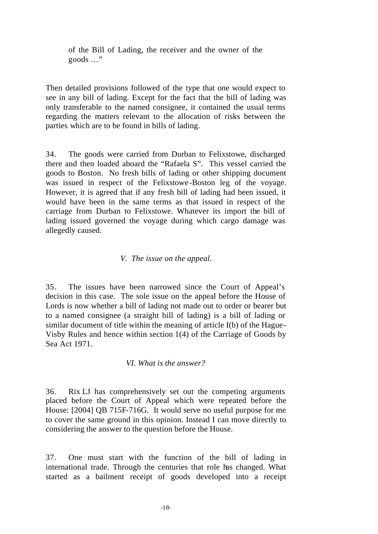of the Bill of Lading, the receiver and the owner of the goods …"

Then detailed provisions followed of the type that one would expect to see in any bill of lading. Except for the fact that the bill of lading was only transferable to the named consignee, it contained the usual terms regarding the matters relevant to the allocation of risks between the parties which are to be found in bills of lading.

34. The goods were carried from Durban to Felixstowe, discharged there and then loaded aboard the "Rafaela S". This vessel carried the goods to Boston. No fresh bills of lading or other shipping document was issued in respect of the Felixstowe -Boston leg of the voyage. However, it is agreed that if any fresh bill of lading had been issued, it would have been in the same terms as that issued in respect of the carriage from Durban to Felixstowe. Whatever its import the bill of lading issued governed the voyage during which cargo damage was allegedly caused.

#### *V. The issue on the appeal.*

35. The issues have been narrowed since the Court of Appeal's decision in this case. The sole issue on the appeal before the House of Lords is now whether a bill of lading not made out to order or bearer but to a named consignee (a straight bill of lading) is a bill of lading or similar document of title within the meaning of article I(b) of the Hague-Visby Rules and hence within section 1(4) of the Carriage of Goods by Sea Act 1971.

#### *VI. What is the answer?*

36. Rix LJ has comprehensively set out the competing arguments placed before the Court of Appeal which were repeated before the House: [2004] QB 715F-716G. It would serve no useful purpose for me to cover the same ground in this opinion. Instead I can move directly to considering the answer to the question before the House.

37. One must start with the function of the bill of lading in international trade. Through the centuries that role has changed. What started as a bailment receipt of goods developed into a receipt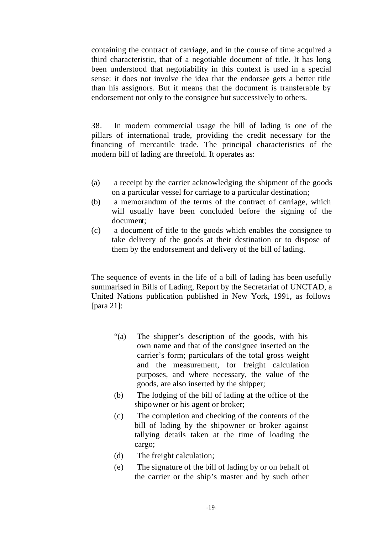containing the contract of carriage, and in the course of time acquired a third characteristic, that of a negotiable document of title. It has long been understood that negotiability in this context is used in a special sense: it does not involve the idea that the endorsee gets a better title than his assignors. But it means that the document is transferable by endorsement not only to the consignee but successively to others.

38. In modern commercial usage the bill of lading is one of the pillars of international trade, providing the credit necessary for the financing of mercantile trade. The principal characteristics of the modern bill of lading are threefold. It operates as:

- (a) a receipt by the carrier acknowledging the shipment of the goods on a particular vessel for carriage to a particular destination;
- (b) a memorandum of the terms of the contract of carriage, which will usually have been concluded before the signing of the document;
- (c) a document of title to the goods which enables the consignee to take delivery of the goods at their destination or to dispose of them by the endorsement and delivery of the bill of lading.

The sequence of events in the life of a bill of lading has been usefully summarised in Bills of Lading, Report by the Secretariat of UNCTAD, a United Nations publication published in New York, 1991, as follows [para 21]:

- "(a) The shipper's description of the goods, with his own name and that of the consignee inserted on the carrier's form; particulars of the total gross weight and the measurement, for freight calculation purposes, and where necessary, the value of the goods, are also inserted by the shipper;
- (b) The lodging of the bill of lading at the office of the shipowner or his agent or broker;
- (c) The completion and checking of the contents of the bill of lading by the shipowner or broker against tallying details taken at the time of loading the cargo;
- (d) The freight calculation;
- (e) The signature of the bill of lading by or on behalf of the carrier or the ship's master and by such other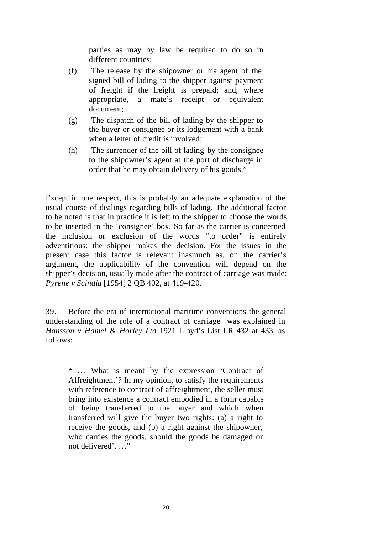parties as may by law be required to do so in different countries;

- (f) The release by the shipowner or his agent of the signed bill of lading to the shipper against payment of freight if the freight is prepaid; and, where appropriate, a mate's receipt or equivalent document;
- (g) The dispatch of the bill of lading by the shipper to the buyer or consignee or its lodgement with a bank when a letter of credit is involved;
- (h) The surrender of the bill of lading by the consignee to the shipowner's agent at the port of discharge in order that he may obtain delivery of his goods."

Except in one respect, this is probably an adequate explanation of the usual course of dealings regarding bills of lading. The additional factor to be noted is that in practice it is left to the shipper to choose the words to be inserted in the 'consignee' box. So far as the carrier is concerned the inclusion or exclusion of the words "to order" is entirely adventitious: the shipper makes the decision. For the issues in the present case this factor is relevant inasmuch as, on the carrier's argument, the applicability of the convention will depend on the shipper's decision, usually made after the contract of carriage was made: *Pyrene v Scindia* [1954] 2 QB 402, at 419-420.

39. Before the era of international maritime conventions the general understanding of the role of a contract of carriage was explained in *Hansson v Hamel & Horley Ltd* 1921 Lloyd's List LR 432 at 433, as follows:

" … What is meant by the expression 'Contract of Affreightment'? In my opinion, to satisfy the requirements with reference to contract of affreightment, the seller must bring into existence a contract embodied in a form capable of being transferred to the buyer and which when transferred will give the buyer two rights: (a) a right to receive the goods, and (b) a right against the shipowner, who carries the goods, should the goods be damaged or not delivered'. …"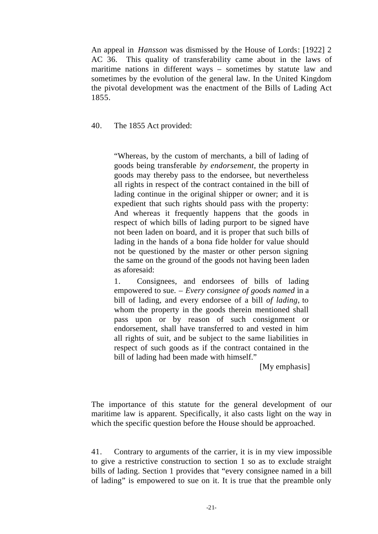An appeal in *Hansson* was dismissed by the House of Lords: [1922] 2 AC 36. This quality of transferability came about in the laws of maritime nations in different ways – sometimes by statute law and sometimes by the evolution of the general law. In the United Kingdom the pivotal development was the enactment of the Bills of Lading Act 1855.

#### 40. The 1855 Act provided:

"Whereas, by the custom of merchants, a bill of lading of goods being transferable *by endorsement*, the property in goods may thereby pass to the endorsee, but nevertheless all rights in respect of the contract contained in the bill of lading continue in the original shipper or owner; and it is expedient that such rights should pass with the property: And whereas it frequently happens that the goods in respect of which bills of lading purport to be signed have not been laden on board, and it is proper that such bills of lading in the hands of a bona fide holder for value should not be questioned by the master or other person signing the same on the ground of the goods not having been laden as aforesaid:

1. Consignees, and endorsees of bills of lading empowered to sue. – *Every consignee of goods named* in a bill of lading, and every endorsee of a bill *of lading*, to whom the property in the goods therein mentioned shall pass upon or by reason of such consignment or endorsement, shall have transferred to and vested in him all rights of suit, and be subject to the same liabilities in respect of such goods as if the contract contained in the bill of lading had been made with himself."

[My emphasis]

The importance of this statute for the general development of our maritime law is apparent. Specifically, it also casts light on the way in which the specific question before the House should be approached.

41. Contrary to arguments of the carrier, it is in my view impossible to give a restrictive construction to section 1 so as to exclude straight bills of lading. Section 1 provides that "every consignee named in a bill of lading" is empowered to sue on it. It is true that the preamble only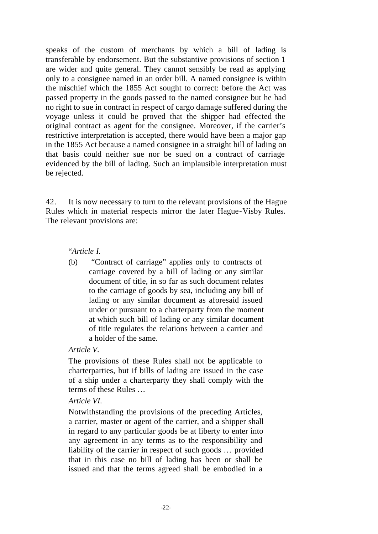speaks of the custom of merchants by which a bill of lading is transferable by endorsement. But the substantive provisions of section 1 are wider and quite general. They cannot sensibly be read as applying only to a consignee named in an order bill. A named consignee is within the mischief which the 1855 Act sought to correct: before the Act was passed property in the goods passed to the named consignee but he had no right to sue in contract in respect of cargo damage suffered during the voyage unless it could be proved that the shipper had effected the original contract as agent for the consignee. Moreover, if the carrier's restrictive interpretation is accepted, there would have been a major gap in the 1855 Act because a named consignee in a straight bill of lading on that basis could neither sue nor be sued on a contract of carriage evidenced by the bill of lading. Such an implausible interpretation must be rejected.

42. It is now necessary to turn to the relevant provisions of the Hague Rules which in material respects mirror the later Hague-Visby Rules. The relevant provisions are:

#### "*Article I.*

(b) "Contract of carriage" applies only to contracts of carriage covered by a bill of lading or any similar document of title, in so far as such document relates to the carriage of goods by sea, including any bill of lading or any similar document as aforesaid issued under or pursuant to a charterparty from the moment at which such bill of lading or any similar document of title regulates the relations between a carrier and a holder of the same.

#### *Article V.*

The provisions of these Rules shall not be applicable to charterparties, but if bills of lading are issued in the case of a ship under a charterparty they shall comply with the terms of these Rules …

#### *Article VI.*

Notwithstanding the provisions of the preceding Articles, a carrier, master or agent of the carrier, and a shipper shall in regard to any particular goods be at liberty to enter into any agreement in any terms as to the responsibility and liability of the carrier in respect of such goods … provided that in this case no bill of lading has been or shall be issued and that the terms agreed shall be embodied in a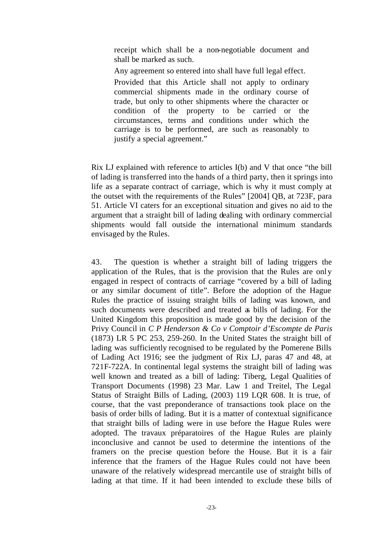receipt which shall be a non-negotiable document and shall be marked as such.

Any agreement so entered into shall have full legal effect.

Provided that this Article shall not apply to ordinary commercial shipments made in the ordinary course of trade, but only to other shipments where the character or condition of the property to be carried or the circumstances, terms and conditions under which the carriage is to be performed, are such as reasonably to justify a special agreement."

Rix LJ explained with reference to articles I(b) and V that once "the bill of lading is transferred into the hands of a third party, then it springs into life as a separate contract of carriage, which is why it must comply at the outset with the requirements of the Rules" [2004] QB, at 723F, para 51. Article VI caters for an exceptional situation and gives no aid to the argument that a straight bill of lading dealing with ordinary commercial shipments would fall outside the international minimum standards envisaged by the Rules.

43. The question is whether a straight bill of lading triggers the application of the Rules, that is the provision that the Rules are only engaged in respect of contracts of carriage "covered by a bill of lading or any similar document of title". Before the adoption of the Hague Rules the practice of issuing straight bills of lading was known, and such documents were described and treated as bills of lading. For the United Kingdom this proposition is made good by the decision of the Privy Council in *C P Henderson & Co v Comptoir d'Escompte de Paris* (1873) LR 5 PC 253, 259-260. In the United States the straight bill of lading was sufficiently recognised to be regulated by the Pomerene Bills of Lading Act 1916; see the judgment of Rix LJ, paras 47 and 48, at 721F-722A. In continental legal systems the straight bill of lading was well known and treated as a bill of lading: Tiberg, Legal Qualities of Transport Documents (1998) 23 Mar. Law 1 and Treitel, The Legal Status of Straight Bills of Lading, (2003) 119 LQR 608. It is true, of course, that the vast preponderance of transactions took place on the basis of order bills of lading. But it is a matter of contextual significance that straight bills of lading were in use before the Hague Rules were adopted. The travaux préparatoires of the Hague Rules are plainly inconclusive and cannot be used to determine the intentions of the framers on the precise question before the House. But it is a fair inference that the framers of the Hague Rules could not have been unaware of the relatively widespread mercantile use of straight bills of lading at that time. If it had been intended to exclude these bills of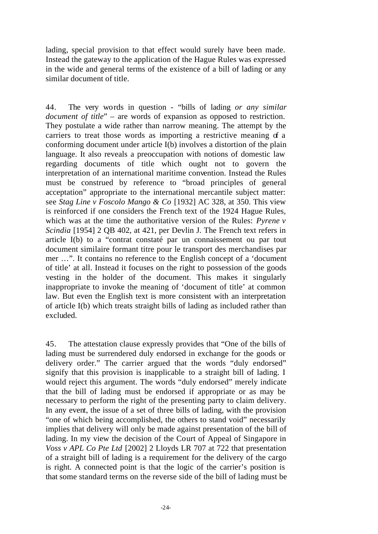lading, special provision to that effect would surely have been made. Instead the gateway to the application of the Hague Rules was expressed in the wide and general terms of the existence of a bill of lading or any similar document of title.

44. The very words in question - "bills of lading *or any similar document of title*" – are words of expansion as opposed to restriction. They postulate a wide rather than narrow meaning. The attempt by the carriers to treat those words as importing a restrictive meaning of a conforming document under article I(b) involves a distortion of the plain language. It also reveals a preoccupation with notions of domestic law regarding documents of title which ought not to govern the interpretation of an international maritime convention. Instead the Rules must be construed by reference to "broad principles of general acceptation" appropriate to the international mercantile subject matter: see *Stag Line v Foscolo Mango & Co* [1932] AC 328, at 350. This view is reinforced if one considers the French text of the 1924 Hague Rules, which was at the time the authoritative version of the Rules: *Pyrene v Scindia* [1954] 2 QB 402, at 421, per Devlin J. The French text refers in article I(b) to a "contrat constaté par un connaissement ou par tout document similaire formant titre pour le transport des merchandises par mer …". It contains no reference to the English concept of a 'document of title' at all. Instead it focuses on the right to possession of the goods vesting in the holder of the document. This makes it singularly inappropriate to invoke the meaning of 'document of title' at common law. But even the English text is more consistent with an interpretation of article I(b) which treats straight bills of lading as included rather than excluded.

45. The attestation clause expressly provides that "One of the bills of lading must be surrendered duly endorsed in exchange for the goods or delivery order." The carrier argued that the words "duly endorsed" signify that this provision is inapplicable to a straight bill of lading. I would reject this argument. The words "duly endorsed" merely indicate that the bill of lading must be endorsed if appropriate or as may be necessary to perform the right of the presenting party to claim delivery. In any event, the issue of a set of three bills of lading, with the provision "one of which being accomplished, the others to stand void" necessarily implies that delivery will only be made against presentation of the bill of lading. In my view the decision of the Court of Appeal of Singapore in *Voss v APL Co Pte Ltd* [2002] 2 Lloyds LR 707 at 722 that presentation of a straight bill of lading is a requirement for the delivery of the cargo is right. A connected point is that the logic of the carrier's position is that some standard terms on the reverse side of the bill of lading must be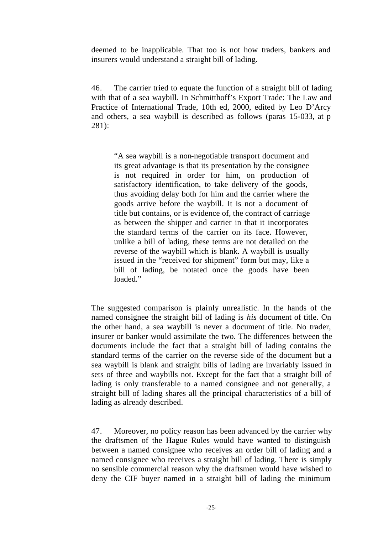deemed to be inapplicable. That too is not how traders, bankers and insurers would understand a straight bill of lading.

46. The carrier tried to equate the function of a straight bill of lading with that of a sea waybill. In Schmitthoff's Export Trade: The Law and Practice of International Trade, 10th ed, 2000, edited by Leo D'Arcy and others, a sea waybill is described as follows (paras 15-033, at p 281):

"A sea waybill is a non-negotiable transport document and its great advantage is that its presentation by the consignee is not required in order for him, on production of satisfactory identification, to take delivery of the goods, thus avoiding delay both for him and the carrier where the goods arrive before the waybill. It is not a document of title but contains, or is evidence of, the contract of carriage as between the shipper and carrier in that it incorporates the standard terms of the carrier on its face. However, unlike a bill of lading, these terms are not detailed on the reverse of the waybill which is blank. A waybill is usually issued in the "received for shipment" form but may, like a bill of lading, be notated once the goods have been loaded."

The suggested comparison is plainly unrealistic. In the hands of the named consignee the straight bill of lading is *his* document of title. On the other hand, a sea waybill is never a document of title. No trader, insurer or banker would assimilate the two. The differences between the documents include the fact that a straight bill of lading contains the standard terms of the carrier on the reverse side of the document but a sea waybill is blank and straight bills of lading are invariably issued in sets of three and waybills not. Except for the fact that a straight bill of lading is only transferable to a named consignee and not generally, a straight bill of lading shares all the principal characteristics of a bill of lading as already described.

47. Moreover, no policy reason has been advanced by the carrier why the draftsmen of the Hague Rules would have wanted to distinguish between a named consignee who receives an order bill of lading and a named consignee who receives a straight bill of lading. There is simply no sensible commercial reason why the draftsmen would have wished to deny the CIF buyer named in a straight bill of lading the minimum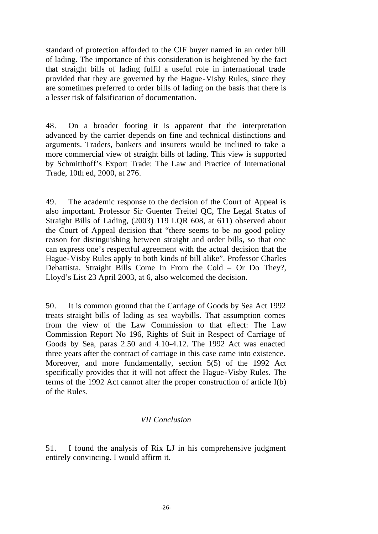standard of protection afforded to the CIF buyer named in an order bill of lading. The importance of this consideration is heightened by the fact that straight bills of lading fulfil a useful role in international trade provided that they are governed by the Hague-Visby Rules, since they are sometimes preferred to order bills of lading on the basis that there is a lesser risk of falsification of documentation.

48. On a broader footing it is apparent that the interpretation advanced by the carrier depends on fine and technical distinctions and arguments. Traders, bankers and insurers would be inclined to take a more commercial view of straight bills of lading. This view is supported by Schmitthoff's Export Trade: The Law and Practice of International Trade, 10th ed, 2000, at 276.

49. The academic response to the decision of the Court of Appeal is also important. Professor Sir Guenter Treitel QC, The Legal St atus of Straight Bills of Lading, (2003) 119 LQR 608, at 611) observed about the Court of Appeal decision that "there seems to be no good policy reason for distinguishing between straight and order bills, so that one can express one's respectful agreement with the actual decision that the Hague-Visby Rules apply to both kinds of bill alike". Professor Charles Debattista, Straight Bills Come In From the Cold – Or Do They?, Lloyd's List 23 April 2003, at 6, also welcomed the decision.

50. It is common ground that the Carriage of Goods by Sea Act 1992 treats straight bills of lading as sea waybills. That assumption comes from the view of the Law Commission to that effect: The Law Commission Report No 196, Rights of Suit in Respect of Carriage of Goods by Sea, paras 2.50 and 4.10-4.12. The 1992 Act was enacted three years after the contract of carriage in this case came into existence. Moreover, and more fundamentally, section 5(5) of the 1992 Act specifically provides that it will not affect the Hague-Visby Rules. The terms of the 1992 Act cannot alter the proper construction of article I(b) of the Rules.

#### *VII Conclusion*

51. I found the analysis of Rix LJ in his comprehensive judgment entirely convincing. I would affirm it.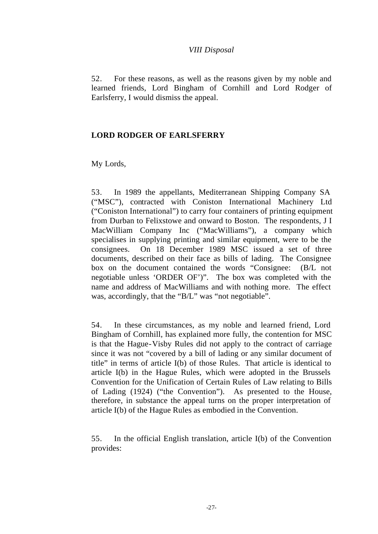#### *VIII Disposal*

52. For these reasons, as well as the reasons given by my noble and learned friends, Lord Bingham of Cornhill and Lord Rodger of Earlsferry, I would dismiss the appeal.

#### **LORD RODGER OF EARLSFERRY**

My Lords,

53. In 1989 the appellants, Mediterranean Shipping Company SA ("MSC"), contracted with Coniston International Machinery Ltd ("Coniston International") to carry four containers of printing equipment from Durban to Felixstowe and onward to Boston. The respondents, J I MacWilliam Company Inc ("MacWilliams"), a company which specialises in supplying printing and similar equipment, were to be the consignees. On 18 December 1989 MSC issued a set of three documents, described on their face as bills of lading. The Consignee box on the document contained the words "Consignee: (B/L not negotiable unless 'ORDER OF')". The box was completed with the name and address of MacWilliams and with nothing more. The effect was, accordingly, that the "B/L" was "not negotiable".

54. In these circumstances, as my noble and learned friend, Lord Bingham of Cornhill, has explained more fully, the contention for MSC is that the Hague-Visby Rules did not apply to the contract of carriage since it was not "covered by a bill of lading or any similar document of title" in terms of article I(b) of those Rules. That article is identical to article I(b) in the Hague Rules, which were adopted in the Brussels Convention for the Unification of Certain Rules of Law relating to Bills of Lading (1924) ("the Convention"). As presented to the House, therefore, in substance the appeal turns on the proper interpretation of article I(b) of the Hague Rules as embodied in the Convention.

55. In the official English translation, article I(b) of the Convention provides: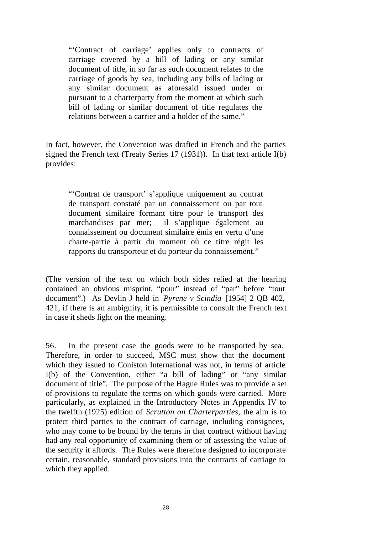"'Contract of carriage' applies only to contracts of carriage covered by a bill of lading or any similar document of title, in so far as such document relates to the carriage of goods by sea, including any bills of lading or any similar document as aforesaid issued under or pursuant to a charterparty from the moment at which such bill of lading or similar document of title regulates the relations between a carrier and a holder of the same."

In fact, however, the Convention was drafted in French and the parties signed the French text (Treaty Series 17 (1931)). In that text article I(b) provides:

"'Contrat de transport' s'applique uniquement au contrat de transport constaté par un connaissement ou par tout document similaire formant titre pour le transport des marchandises par mer; il s'applique également au connaissement ou document similaire émis en vertu d'une charte-partie à partir du moment où ce titre régit les rapports du transporteur et du porteur du connaissement."

(The version of the text on which both sides relied at the hearing contained an obvious misprint, "pour" instead of "par" before "tout document".) As Devlin J held in *Pyrene v Scindia* [1954] 2 QB 402, 421, if there is an ambiguity, it is permissible to consult the French text in case it sheds light on the meaning.

56. In the present case the goods were to be transported by sea. Therefore, in order to succeed, MSC must show that the document which they issued to Coniston International was not, in terms of article I(b) of the Convention, either "a bill of lading" or "any similar document of title". The purpose of the Hague Rules was to provide a set of provisions to regulate the terms on which goods were carried. More particularly, as explained in the Introductory Notes in Appendix IV to the twelfth (1925) edition of *Scrutton on Charterparties*, the aim is to protect third parties to the contract of carriage, including consignees, who may come to be bound by the terms in that contract without having had any real opportunity of examining them or of assessing the value of the security it affords. The Rules were therefore designed to incorporate certain, reasonable, standard provisions into the contracts of carriage to which they applied.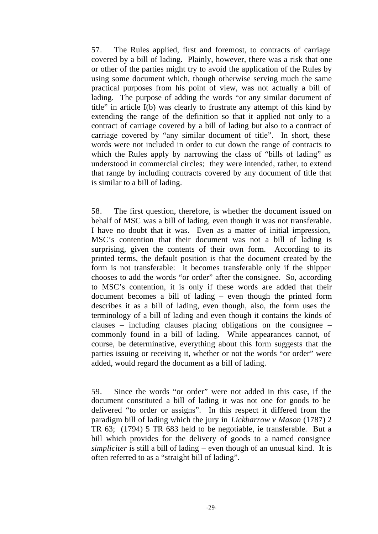57. The Rules applied, first and foremost, to contracts of carriage covered by a bill of lading. Plainly, however, there was a risk that one or other of the parties might try to avoid the application of the Rules by using some document which, though otherwise serving much the same practical purposes from his point of view, was not actually a bill of lading. The purpose of adding the words "or any similar document of title" in article I(b) was clearly to frustrate any attempt of this kind by extending the range of the definition so that it applied not only to a contract of carriage covered by a bill of lading but also to a contract of carriage covered by "any similar document of title". In short, these words were not included in order to cut down the range of contracts to which the Rules apply by narrowing the class of "bills of lading" as understood in commercial circles; they were intended, rather, to extend that range by including contracts covered by any document of title that is similar to a bill of lading.

58. The first question, therefore, is whether the document issued on behalf of MSC was a bill of lading, even though it was not transferable. I have no doubt that it was. Even as a matter of initial impression, MSC's contention that their document was not a bill of lading is surprising, given the contents of their own form. According to its printed terms, the default position is that the document created by the form is not transferable: it becomes transferable only if the shipper chooses to add the words "or order" after the consignee. So, according to MSC's contention, it is only if these words are added that their document becomes a bill of lading – even though the printed form describes it as a bill of lading, even though, also, the form uses the terminology of a bill of lading and even though it contains the kinds of clauses – including clauses placing obligations on the consignee – commonly found in a bill of lading. While appearances cannot, of course, be determinative, everything about this form suggests that the parties issuing or receiving it, whether or not the words "or order" were added, would regard the document as a bill of lading.

59. Since the words "or order" were not added in this case, if the document constituted a bill of lading it was not one for goods to be delivered "to order or assigns". In this respect it differed from the paradigm bill of lading which the jury in *Lickbarrow v Mason* (1787) 2 TR 63; (1794) 5 TR 683 held to be negotiable, ie transferable. But a bill which provides for the delivery of goods to a named consignee *simpliciter* is still a bill of lading – even though of an unusual kind. It is often referred to as a "straight bill of lading".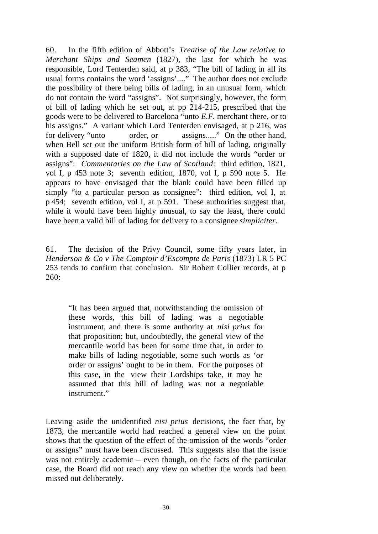60. In the fifth edition of Abbott's *Treatise of the Law relative to Merchant Ships and Seamen* (1827), the last for which he was responsible, Lord Tenterden said, at p 383, "The bill of lading in all its usual forms contains the word 'assigns'...." The author does not exclude the possibility of there being bills of lading, in an unusual form, which do not contain the word "assigns". Not surprisingly, however, the form of bill of lading which he set out, at pp 214-215, prescribed that the goods were to be delivered to Barcelona "unto *E.F.* merchant there, or to his assigns." A variant which Lord Tenterden envisaged, at p 216, was for delivery "unto order, or assigns....." On the other hand, when Bell set out the uniform British form of bill of lading, originally with a supposed date of 1820, it did not include the words "order or assigns": *Commentaries on the Law of Scotland*: third edition, 1821, vol I, p 453 note 3; seventh edition, 1870, vol I, p 590 note 5. He appears to have envisaged that the blank could have been filled up simply "to a particular person as consignee": third edition, vol I, at p 454; seventh edition, vol I, at p 591. These authorities suggest that, while it would have been highly unusual, to say the least, there could have been a valid bill of lading for delivery to a consignee *simpliciter.*

61. The decision of the Privy Council, some fifty years later, in *Henderson & Co v The Comptoir d'Escompte de Paris* (1873) LR 5 PC 253 tends to confirm that conclusion. Sir Robert Collier records, at p  $260:$ 

"It has been argued that, notwithstanding the omission of these words, this bill of lading was a negotiable instrument, and there is some authority at *nisi prius* for that proposition; but, undoubtedly, the general view of the mercantile world has been for some time that, in order to make bills of lading negotiable, some such words as 'or order or assigns' ought to be in them. For the purposes of this case, in the view their Lordships take, it may be assumed that this bill of lading was not a negotiable instrument."

Leaving aside the unidentified *nisi prius* decisions, the fact that, by 1873, the mercantile world had reached a general view on the point shows that the question of the effect of the omission of the words "order or assigns" must have been discussed. This suggests also that the issue was not entirely academic – even though, on the facts of the particular case, the Board did not reach any view on whether the words had been missed out deliberately.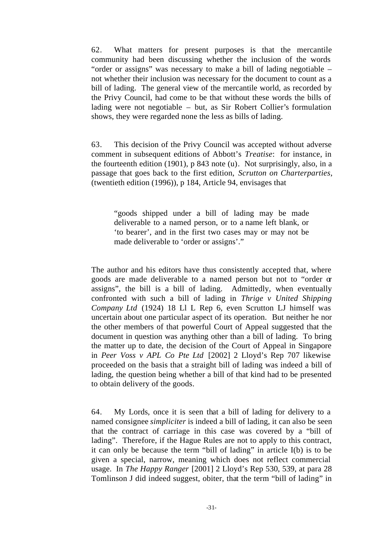62. What matters for present purposes is that the mercantile community had been discussing whether the inclusion of the words "order or assigns" was necessary to make a bill of lading negotiable – not whether their inclusion was necessary for the document to count as a bill of lading. The general view of the mercantile world, as recorded by the Privy Council, had come to be that without these words the bills of lading were not negotiable – but, as Sir Robert Collier's formulation shows, they were regarded none the less as bills of lading.

63. This decision of the Privy Council was accepted without adverse comment in subsequent editions of Abbott's *Treatise*: for instance, in the fourteenth edition (1901), p 843 note (u). Not surprisingly, also, in a passage that goes back to the first edition, *Scrutton on Charterparties*, (twentieth edition (1996)), p 184, Article 94, envisages that

"goods shipped under a bill of lading may be made deliverable to a named person, or to a name left blank, or 'to bearer', and in the first two cases may or may not be made deliverable to 'order or assigns'."

The author and his editors have thus consistently accepted that, where goods are made deliverable to a named person but not to "order  $\alpha$ " assigns", the bill is a bill of lading. Admittedly, when eventually confronted with such a bill of lading in *Thrige v United Shipping Company Ltd* (1924) 18 Ll L Rep 6, even Scrutton LJ himself was uncertain about one particular aspect of its operation. But neither he nor the other members of that powerful Court of Appeal suggested that the document in question was anything other than a bill of lading. To bring the matter up to date, the decision of the Court of Appeal in Singapore in *Peer Voss v APL Co Pte Ltd* [2002] 2 Lloyd's Rep 707 likewise proceeded on the basis that a straight bill of lading was indeed a bill of lading, the question being whether a bill of that kind had to be presented to obtain delivery of the goods.

64. My Lords, once it is seen that a bill of lading for delivery to a named consignee *simpliciter* is indeed a bill of lading, it can also be seen that the contract of carriage in this case was covered by a "bill of lading". Therefore, if the Hague Rules are not to apply to this contract, it can only be because the term "bill of lading" in article I(b) is to be given a special, narrow, meaning which does not reflect commercial usage. In *The Happy Ranger* [2001] 2 Lloyd's Rep 530, 539, at para 28 Tomlinson J did indeed suggest, obiter, that the term "bill of lading" in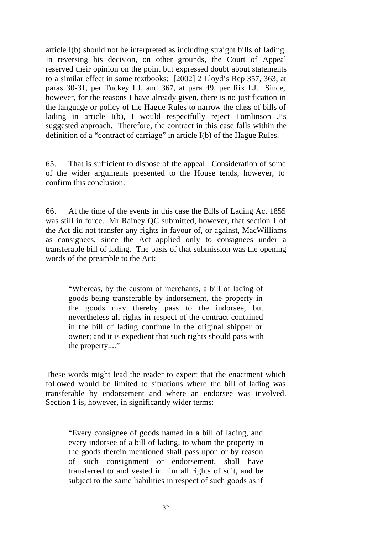article I(b) should not be interpreted as including straight bills of lading. In reversing his decision, on other grounds, the Court of Appeal reserved their opinion on the point but expressed doubt about statements to a similar effect in some textbooks: [2002] 2 Lloyd's Rep 357, 363, at paras 30-31, per Tuckey LJ, and 367, at para 49, per Rix LJ. Since, however, for the reasons I have already given, there is no justification in the language or policy of the Hague Rules to narrow the class of bills of lading in article I(b), I would respectfully reject Tomlinson J's suggested approach. Therefore, the contract in this case falls within the definition of a "contract of carriage" in article I(b) of the Hague Rules.

65. That is sufficient to dispose of the appeal. Consideration of some of the wider arguments presented to the House tends, however, to confirm this conclusion.

66. At the time of the events in this case the Bills of Lading Act 1855 was still in force. Mr Rainey QC submitted, however, that section 1 of the Act did not transfer any rights in favour of, or against, MacWilliams as consignees, since the Act applied only to consignees under a transferable bill of lading. The basis of that submission was the opening words of the preamble to the Act:

"Whereas, by the custom of merchants, a bill of lading of goods being transferable by indorsement, the property in the goods may thereby pass to the indorsee, but nevertheless all rights in respect of the contract contained in the bill of lading continue in the original shipper or owner; and it is expedient that such rights should pass with the property...."

These words might lead the reader to expect that the enactment which followed would be limited to situations where the bill of lading was transferable by endorsement and where an endorsee was involved. Section 1 is, however, in significantly wider terms:

"Every consignee of goods named in a bill of lading, and every indorsee of a bill of lading, to whom the property in the goods therein mentioned shall pass upon or by reason of such consignment or endorsement, shall have transferred to and vested in him all rights of suit, and be subject to the same liabilities in respect of such goods as if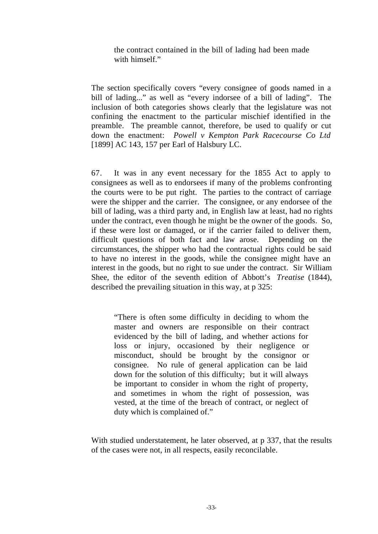the contract contained in the bill of lading had been made with himself."

The section specifically covers "every consignee of goods named in a bill of lading..." as well as "every indorsee of a bill of lading". The inclusion of both categories shows clearly that the legislature was not confining the enactment to the particular mischief identified in the preamble. The preamble cannot, therefore, be used to qualify or cut down the enactment: *Powell v Kempton Park Racecourse Co Ltd*  [1899] AC 143, 157 per Earl of Halsbury LC.

67. It was in any event necessary for the 1855 Act to apply to consignees as well as to endorsees if many of the problems confronting the courts were to be put right. The parties to the contract of carriage were the shipper and the carrier. The consignee, or any endorsee of the bill of lading, was a third party and, in English law at least, had no rights under the contract, even though he might be the owner of the goods. So, if these were lost or damaged, or if the carrier failed to deliver them, difficult questions of both fact and law arose. Depending on the circumstances, the shipper who had the contractual rights could be said to have no interest in the goods, while the consignee might have an interest in the goods, but no right to sue under the contract. Sir William Shee, the editor of the seventh edition of Abbott's *Treatise* (1844), described the prevailing situation in this way, at p 325:

"There is often some difficulty in deciding to whom the master and owners are responsible on their contract evidenced by the bill of lading, and whether actions for loss or injury, occasioned by their negligence or misconduct, should be brought by the consignor or consignee. No rule of general application can be laid down for the solution of this difficulty; but it will always be important to consider in whom the right of property, and sometimes in whom the right of possession, was vested, at the time of the breach of contract, or neglect of duty which is complained of."

With studied understatement, he later observed, at p 337, that the results of the cases were not, in all respects, easily reconcilable.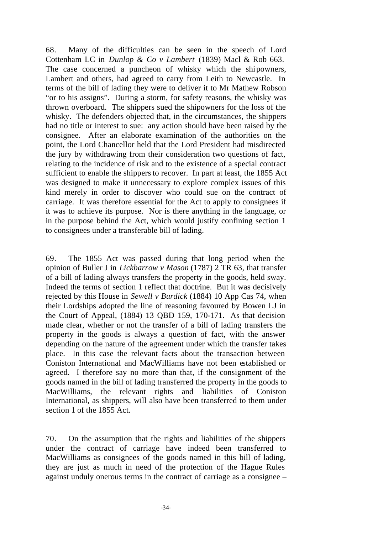68. Many of the difficulties can be seen in the speech of Lord Cottenham LC in *Dunlop & Co v Lambert* (1839) Macl & Rob 663. The case concerned a puncheon of whisky which the shipowners, Lambert and others, had agreed to carry from Leith to Newcastle. In terms of the bill of lading they were to deliver it to Mr Mathew Robson "or to his assigns". During a storm, for safety reasons, the whisky was thrown overboard. The shippers sued the shipowners for the loss of the whisky. The defenders objected that, in the circumstances, the shippers had no title or interest to sue: any action should have been raised by the consignee. After an elaborate examination of the authorities on the point, the Lord Chancellor held that the Lord President had misdirected the jury by withdrawing from their consideration two questions of fact, relating to the incidence of risk and to the existence of a special contract sufficient to enable the shippers to recover. In part at least, the 1855 Act was designed to make it unnecessary to explore complex issues of this kind merely in order to discover who could sue on the contract of carriage. It was therefore essential for the Act to apply to consignees if it was to achieve its purpose. Nor is there anything in the language, or in the purpose behind the Act, which would justify confining section 1 to consignees under a transferable bill of lading.

69. The 1855 Act was passed during that long period when the opinion of Buller J in *Lickbarrow v Mason* (1787) 2 TR 63, that transfer of a bill of lading always transfers the property in the goods, held sway. Indeed the terms of section 1 reflect that doctrine. But it was decisively rejected by this House in *Sewell v Burdick* (1884) 10 App Cas 74, when their Lordships adopted the line of reasoning favoured by Bowen LJ in the Court of Appeal, (1884) 13 QBD 159, 170-171. As that decision made clear, whether or not the transfer of a bill of lading transfers the property in the goods is always a question of fact, with the answer depending on the nature of the agreement under which the transfer takes place. In this case the relevant facts about the transaction between Coniston International and MacWilliams have not been established or agreed. I therefore say no more than that, if the consignment of the goods named in the bill of lading transferred the property in the goods to MacWilliams, the relevant rights and liabilities of Coniston International, as shippers, will also have been transferred to them under section 1 of the 1855 Act.

70. On the assumption that the rights and liabilities of the shippers under the contract of carriage have indeed been transferred to MacWilliams as consignees of the goods named in this bill of lading, they are just as much in need of the protection of the Hague Rules against unduly onerous terms in the contract of carriage as a consignee –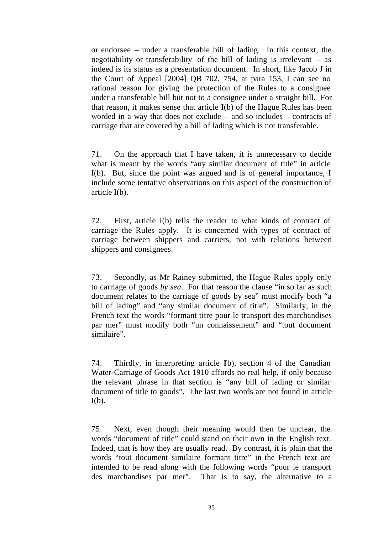or endorsee – under a transferable bill of lading. In this context, the negotiability or transferability of the bill of lading is irrelevant – as indeed is its status as a presentation document. In short, like Jacob J in the Court of Appeal [2004] QB 702, 754, at para 153, I can see no rational reason for giving the protection of the Rules to a consignee under a transferable bill but not to a consignee under a straight bill. For that reason, it makes sense that article I(b) of the Hague Rules has been worded in a way that does not exclude – and so includes – contracts of carriage that are covered by a bill of lading which is not transferable.

71. On the approach that I have taken, it is unnecessary to decide what is meant by the words "any similar document of title" in article I(b). But, since the point was argued and is of general importance, I include some tentative observations on this aspect of the construction of article I(b).

72. First, article I(b) tells the reader to what kinds of contract of carriage the Rules apply. It is concerned with types of contract of carriage between shippers and carriers, not with relations between shippers and consignees.

73. Secondly, as Mr Rainey submitted, the Hague Rules apply only to carriage of goods *by sea*. For that reason the clause "in so far as such document relates to the carriage of goods by sea" must modify both "a bill of lading" and "any similar document of title". Similarly, in the French text the words "formant titre pour le transport des marchandises par mer" must modify both "un connaissement" and "tout document similaire".

74. Thirdly, in interpreting article Ib), section 4 of the Canadian Water-Carriage of Goods Act 1910 affords no real help, if only because the relevant phrase in that section is "any bill of lading or similar document of title to goods". The last two words are not found in article  $I(b)$ .

75. Next, even though their meaning would then be unclear, the words "document of title" could stand on their own in the English text. Indeed, that is how they are usually read. By contrast, it is plain that the words "tout document similaire formant titre" in the French text are intended to be read along with the following words "pour le transport des marchandises par mer". That is to say, the alternative to a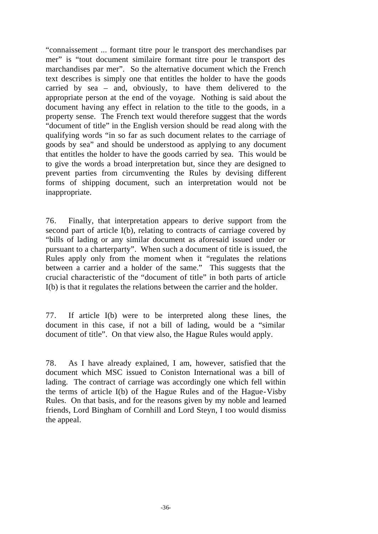"connaissement ... formant titre pour le transport des merchandises par mer" is "tout document similaire formant titre pour le transport des marchandises par mer". So the alternative document which the French text describes is simply one that entitles the holder to have the goods carried by sea – and, obviously, to have them delivered to the appropriate person at the end of the voyage. Nothing is said about the document having any effect in relation to the title to the goods, in a property sense. The French text would therefore suggest that the words "document of title" in the English version should be read along with the qualifying words "in so far as such document relates to the carriage of goods by sea" and should be understood as applying to any document that entitles the holder to have the goods carried by sea. This would be to give the words a broad interpretation but, since they are designed to prevent parties from circumventing the Rules by devising different forms of shipping document, such an interpretation would not be inappropriate.

76. Finally, that interpretation appears to derive support from the second part of article I(b), relating to contracts of carriage covered by "bills of lading or any similar document as aforesaid issued under or pursuant to a charterparty". When such a document of title is issued, the Rules apply only from the moment when it "regulates the relations between a carrier and a holder of the same." This suggests that the crucial characteristic of the "document of title" in both parts of article I(b) is that it regulates the relations between the carrier and the holder.

77. If article I(b) were to be interpreted along these lines, the document in this case, if not a bill of lading, would be a "similar document of title". On that view also, the Hague Rules would apply.

78. As I have already explained, I am, however, satisfied that the document which MSC issued to Coniston International was a bill of lading. The contract of carriage was accordingly one which fell within the terms of article I(b) of the Hague Rules and of the Hague-Visby Rules. On that basis, and for the reasons given by my noble and learned friends, Lord Bingham of Cornhill and Lord Steyn, I too would dismiss the appeal.